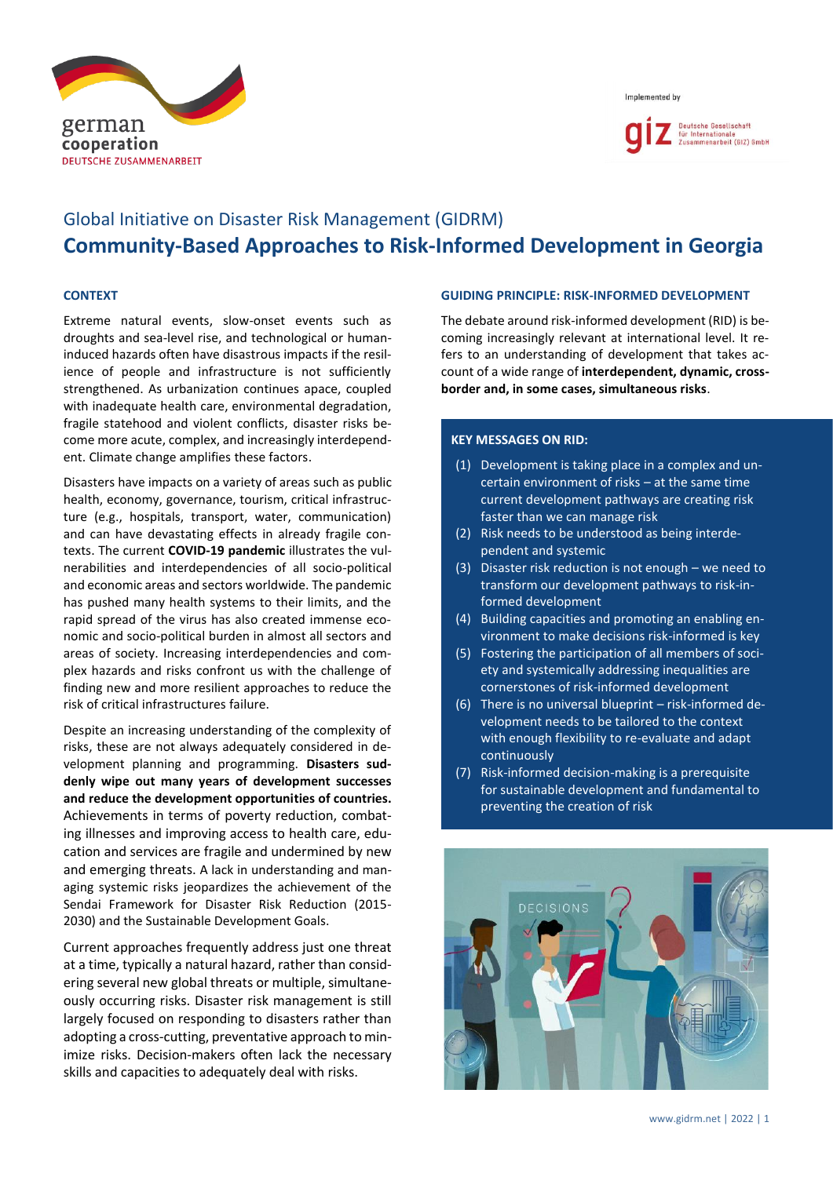





# Global Initiative on Disaster Risk Management (GIDRM) **Community-Based Approaches to Risk-Informed Development in Georgia**

## **CONTEXT**

Extreme natural events, slow-onset events such as droughts and sea-level rise, and technological or humaninduced hazards often have disastrous impacts if the resilience of people and infrastructure is not sufficiently strengthened. As urbanization continues apace, coupled with inadequate health care, environmental degradation, fragile statehood and violent conflicts, disaster risks become more acute, complex, and increasingly interdependent. Climate change amplifies these factors.

Disasters have impacts on a variety of areas such as public health, economy, governance, tourism, critical infrastructure (e.g., hospitals, transport, water, communication) and can have devastating effects in already fragile contexts. The current **COVID-19 pandemic** illustrates the vulnerabilities and interdependencies of all socio-political and economic areas and sectors worldwide. The pandemic has pushed many health systems to their limits, and the rapid spread of the virus has also created immense economic and socio-political burden in almost all sectors and areas of society. Increasing interdependencies and complex hazards and risks confront us with the challenge of finding new and more resilient approaches to reduce the risk of critical infrastructures failure.

Despite an increasing understanding of the complexity of risks, these are not always adequately considered in development planning and programming. **Disasters suddenly wipe out many years of development successes and reduce the development opportunities of countries.** Achievements in terms of poverty reduction, combating illnesses and improving access to health care, education and services are fragile and undermined by new and emerging threats. A lack in understanding and managing systemic risks jeopardizes the achievement of the Sendai Framework for Disaster Risk Reduction (2015- 2030) and the Sustainable Development Goals.

Current approaches frequently address just one threat at a time, typically a natural hazard, rather than considering several new global threats or multiple, simultaneously occurring risks. Disaster risk management is still largely focused on responding to disasters rather than adopting a cross-cutting, preventative approach to minimize risks. Decision-makers often lack the necessary skills and capacities to adequately deal with risks.

#### **GUIDING PRINCIPLE: RISK-INFORMED DEVELOPMENT**

The debate around risk-informed development (RID) is becoming increasingly relevant at international level. It refers to an understanding of development that takes account of a wide range of **interdependent, dynamic, crossborder and, in some cases, simultaneous risks**.

# **KEY MESSAGES ON RID:**

- (1) Development is taking place in a complex and uncertain environment of risks – at the same time current development pathways are creating risk faster than we can manage risk
- (2) Risk needs to be understood as being interdependent and systemic
- (3) Disaster risk reduction is not enough we need to transform our development pathways to risk-informed development
- (4) Building capacities and promoting an enabling environment to make decisions risk-informed is key
- (5) Fostering the participation of all members of society and systemically addressing inequalities are cornerstones of risk-informed development
- (6) There is no universal blueprint risk-informed development needs to be tailored to the context with enough flexibility to re-evaluate and adapt continuously
- (7) Risk-informed decision-making is a prerequisite for sustainable development and fundamental to preventing the creation of risk